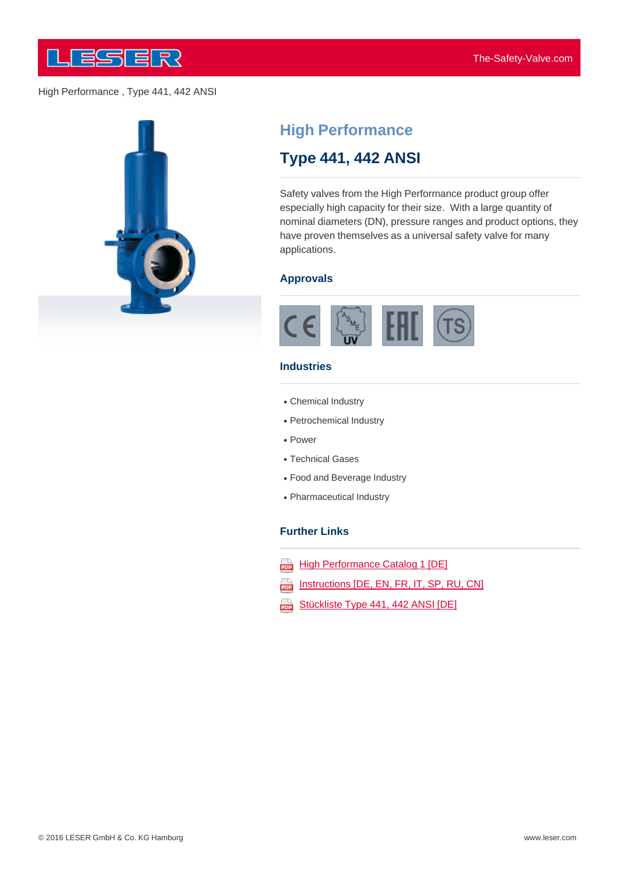



# **High Performance**

## **Type 441, 442 ANSI**

Safety valves from the High Performance product group offer especially high capacity for their size. With a large quantity of nominal diameters (DN), pressure ranges and product options, they have proven themselves as a universal safety valve for many applications.

#### **Approvals**



#### **Industries**

- Chemical Industry
- Petrochemical Industry
- Power
- Technical Gases
- Food and Beverage Industry
- Pharmaceutical Industry

#### **Further Links**

- **High Performance Catalog 1 [DE]** ana)
- Instructions [DE, EN, FR, IT, SP, RU, CN] ψ
- aaa) Stückliste Type 441, 442 ANSI [DE]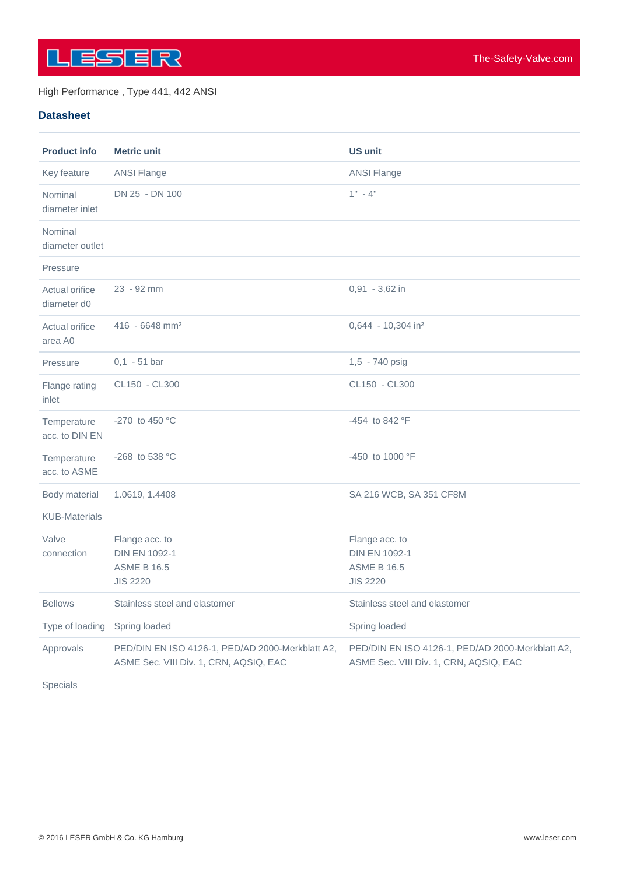

## **Datasheet**

| <b>Product info</b>           | <b>Metric unit</b>                                                                         | <b>US unit</b>                                                                             |
|-------------------------------|--------------------------------------------------------------------------------------------|--------------------------------------------------------------------------------------------|
| Key feature                   | <b>ANSI Flange</b>                                                                         | <b>ANSI Flange</b>                                                                         |
| Nominal<br>diameter inlet     | DN 25 - DN 100                                                                             | $1" - 4"$                                                                                  |
| Nominal<br>diameter outlet    |                                                                                            |                                                                                            |
| Pressure                      |                                                                                            |                                                                                            |
| Actual orifice<br>diameter d0 | 23 - 92 mm                                                                                 | 0,91 - 3,62 in                                                                             |
| Actual orifice<br>area A0     | $416 - 6648$ mm <sup>2</sup>                                                               | 0,644 - 10,304 in <sup>2</sup>                                                             |
| Pressure                      | $0,1 - 51$ bar                                                                             | 1,5 - 740 psig                                                                             |
| Flange rating<br>inlet        | CL150 - CL300                                                                              | CL150 - CL300                                                                              |
| Temperature<br>acc. to DIN EN | -270 to 450 $^{\circ}$ C                                                                   | -454 to 842 °F                                                                             |
| Temperature<br>acc. to ASME   | -268 to 538 °C                                                                             | -450 to 1000 °F                                                                            |
| Body material                 | 1.0619, 1.4408                                                                             | SA 216 WCB, SA 351 CF8M                                                                    |
| <b>KUB-Materials</b>          |                                                                                            |                                                                                            |
| Valve<br>connection           | Flange acc. to<br><b>DIN EN 1092-1</b><br><b>ASME B 16.5</b><br><b>JIS 2220</b>            | Flange acc. to<br><b>DIN EN 1092-1</b><br><b>ASME B 16.5</b><br><b>JIS 2220</b>            |
| <b>Bellows</b>                | Stainless steel and elastomer                                                              | Stainless steel and elastomer                                                              |
| Type of loading               | Spring loaded                                                                              | Spring loaded                                                                              |
| Approvals                     | PED/DIN EN ISO 4126-1, PED/AD 2000-Merkblatt A2,<br>ASME Sec. VIII Div. 1, CRN, AQSIQ, EAC | PED/DIN EN ISO 4126-1, PED/AD 2000-Merkblatt A2,<br>ASME Sec. VIII Div. 1, CRN, AQSIQ, EAC |
| Specials                      |                                                                                            |                                                                                            |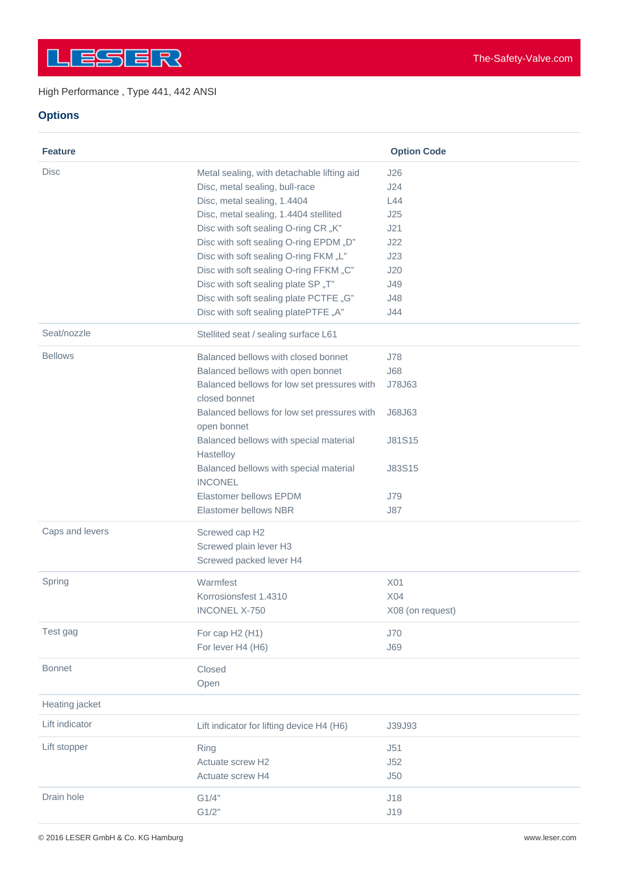## **Options**

| <b>Feature</b>  |                                                              | <b>Option Code</b> |
|-----------------|--------------------------------------------------------------|--------------------|
| <b>Disc</b>     | Metal sealing, with detachable lifting aid                   | J26                |
|                 | Disc, metal sealing, bull-race                               | J24                |
|                 | Disc, metal sealing, 1.4404                                  | L44                |
|                 | Disc, metal sealing, 1.4404 stellited                        | J25                |
|                 | Disc with soft sealing O-ring CR "K"                         | J21                |
|                 | Disc with soft sealing O-ring EPDM "D"                       | J22                |
|                 | Disc with soft sealing O-ring FKM "L"                        | J23                |
|                 | Disc with soft sealing O-ring FFKM "C"                       | J20                |
|                 | Disc with soft sealing plate SP "T"                          | <b>J49</b>         |
|                 | Disc with soft sealing plate PCTFE "G"                       | J48                |
|                 | Disc with soft sealing platePTFE "A"                         | J44                |
| Seat/nozzle     | Stellited seat / sealing surface L61                         |                    |
| <b>Bellows</b>  | Balanced bellows with closed bonnet                          | J78                |
|                 | Balanced bellows with open bonnet                            | J68                |
|                 | Balanced bellows for low set pressures with<br>closed bonnet | J78J63             |
|                 | Balanced bellows for low set pressures with                  | J68J63             |
|                 | open bonnet                                                  |                    |
|                 | Balanced bellows with special material                       | J81S15             |
|                 | Hastelloy                                                    |                    |
|                 | Balanced bellows with special material                       | J83S15             |
|                 | <b>INCONEL</b>                                               |                    |
|                 | Elastomer bellows EPDM                                       | <b>J79</b>         |
|                 | Elastomer bellows NBR                                        | J87                |
| Caps and levers | Screwed cap H2                                               |                    |
|                 | Screwed plain lever H3                                       |                    |
|                 | Screwed packed lever H4                                      |                    |
| Spring          | Warmfest                                                     | X01                |
|                 | Korrosionsfest 1.4310                                        | X04                |
|                 | <b>INCONEL X-750</b>                                         | X08 (on request)   |
| Test gag        | For cap H2 (H1)                                              | <b>J70</b>         |
|                 | For lever H4 (H6)                                            | <b>J69</b>         |
| <b>Bonnet</b>   | Closed                                                       |                    |
|                 | Open                                                         |                    |
| Heating jacket  |                                                              |                    |
| Lift indicator  | Lift indicator for lifting device H4 (H6)                    | J39J93             |
| Lift stopper    | Ring                                                         | J51                |
|                 | Actuate screw H2                                             | J52                |
|                 | Actuate screw H4                                             | J50                |
| Drain hole      | G1/4"                                                        | J18                |
|                 | G1/2"                                                        | J19                |